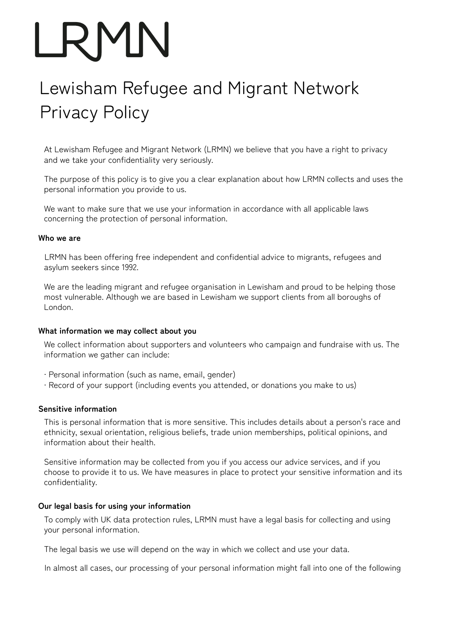# Lewisham Refugee and Migrant Network Privacy Policy

At Lewisham Refugee and Migrant Network (LRMN) we believe that you have a right to privacy and we take your confidentiality very seriously.

The purpose of this policy is to give you a clear explanation about how LRMN collects and uses the personal information you provide to us.

We want to make sure that we use your information in accordance with all applicable laws concerning the protection of personal information.

#### **Who we are**

LRMN has been offering free independent and confidential advice to migrants, refugees and asylum seekers since 1992.

We are the leading migrant and refugee organisation in Lewisham and proud to be helping those most vulnerable. Although we are based in Lewisham we support clients from all boroughs of London.

#### **What information we may collect about you**

We collect information about supporters and volunteers who campaign and fundraise with us. The information we gather can include:

- ∙ Personal information (such as name, email, gender)
- ∙ Record of your support (including events you attended, or donations you make to us)

# **Sensitive information**

This is personal information that is more sensitive. This includes details about a person's race and ethnicity, sexual orientation, religious beliefs, trade union memberships, political opinions, and information about their health.

Sensitive information may be collected from you if you access our advice services, and if you choose to provide it to us. We have measures in place to protect your sensitive information and its confidentiality.

# **Our legal basis for using your information**

To comply with UK data protection rules, LRMN must have a legal basis for collecting and using your personal information.

The legal basis we use will depend on the way in which we collect and use your data.

In almost all cases, our processing of your personal information might fall into one of the following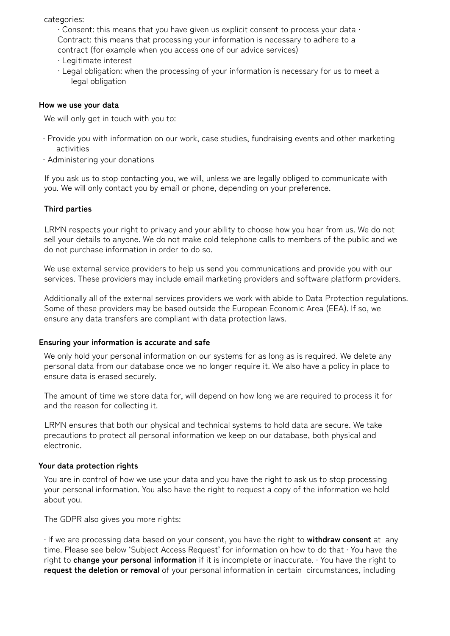categories:

∙ Consent: this means that you have given us explicit consent to process your data ∙ Contract: this means that processing your information is necessary to adhere to a contract (for example when you access one of our advice services)

- ∙ Legitimate interest
- ∙ Legal obligation: when the processing of your information is necessary for us to meet a legal obligation

#### **How we use your data**

We will only get in touch with you to:

- ∙ Provide you with information on our work, case studies, fundraising events and other marketing activities
- ∙ Administering your donations

If you ask us to stop contacting you, we will, unless we are legally obliged to communicate with you. We will only contact you by email or phone, depending on your preference.

# **Third parties**

LRMN respects your right to privacy and your ability to choose how you hear from us. We do not sell your details to anyone. We do not make cold telephone calls to members of the public and we do not purchase information in order to do so.

We use external service providers to help us send you communications and provide you with our services. These providers may include email marketing providers and software platform providers.

Additionally all of the external services providers we work with abide to Data Protection regulations. Some of these providers may be based outside the European Economic Area (EEA). If so, we ensure any data transfers are compliant with data protection laws.

#### **Ensuring your information is accurate and safe**

We only hold your personal information on our systems for as long as is required. We delete any personal data from our database once we no longer require it. We also have a policy in place to ensure data is erased securely.

The amount of time we store data for, will depend on how long we are required to process it for and the reason for collecting it.

LRMN ensures that both our physical and technical systems to hold data are secure. We take precautions to protect all personal information we keep on our database, both physical and electronic.

#### **Your data protection rights**

You are in control of how we use your data and you have the right to ask us to stop processing your personal information. You also have the right to request a copy of the information we hold about you.

The GDPR also gives you more rights:

∙ If we are processing data based on your consent, you have the right to **withdraw consent** at any time. Please see below 'Subject Access Request' for information on how to do that ∙ You have the right to **change your personal information** if it is incomplete or inaccurate. ∙ You have the right to **request the deletion or removal** of your personal information in certain circumstances, including